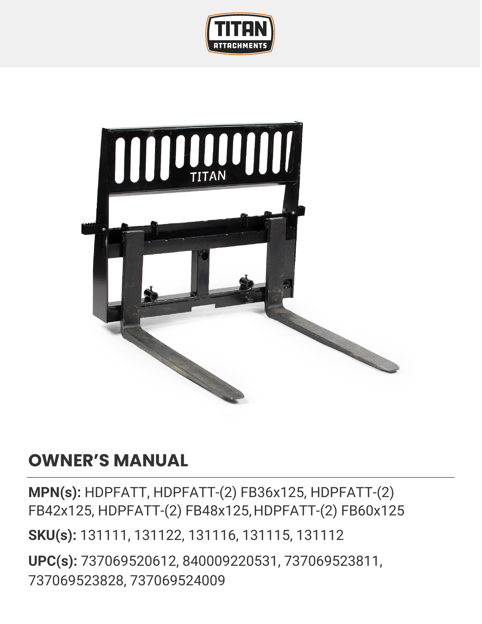



## **OWNER'S MANUAL**

**MPN(s):** HDPFATT, HDPFATT-(2) FB36x125, HDPFATT-(2) FB42x125, HDPFATT-(2) FB48x125,HDPFATT-(2) FB60x125 **SKU(s):** 131111, 131122, 131116, 131115, 131112 **UPC(s):** 737069520612, 840009220531, 737069523811, 737069523828, 737069524009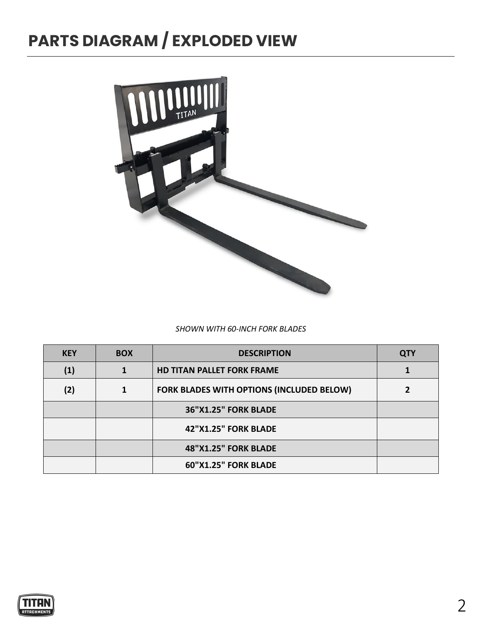## **PARTS DIAGRAM / EXPLODED VIEW**



#### *SHOWN WITH 60-INCH FORK BLADES*

| <b>KEY</b>        | <b>BOX</b> | <b>DESCRIPTION</b>                        | <b>QTY</b> |
|-------------------|------------|-------------------------------------------|------------|
| $\left( 1\right)$ |            | <b>HD TITAN PALLET FORK FRAME</b>         |            |
| (2)               |            | FORK BLADES WITH OPTIONS (INCLUDED BELOW) |            |
|                   |            | <b>36"X1.25" FORK BLADE</b>               |            |
|                   |            | 42"X1.25" FORK BLADE                      |            |
|                   |            | 48"X1.25" FORK BLADE                      |            |
|                   |            | 60"X1.25" FORK BLADE                      |            |